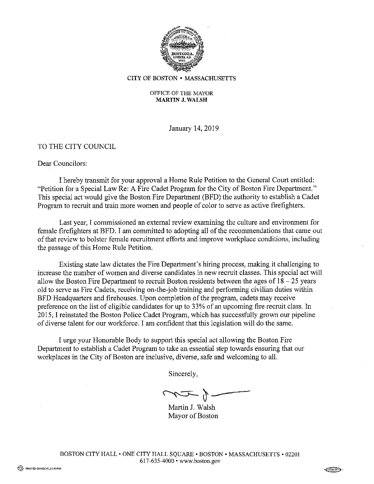

CITY OF BOSTON • MASSACHUSETTS

#### OFFICE OF THE MAYOR **MARTIN J. WALSH**

January 14, 2019

### TO THE CITY COUNCIL

#### Dear Councilors:

I hereby transmit for your approval a Home Rule Petition to the General Court entitled: "Petition for a Special Law Re: A Fire Cadet Program for the City of Boston Fire Department." This special act would give the Boston Fire Department (BFD) the authority to establish a Cadet Program to recruit and train more women and people of color to serve as active firefighters.

Last year, I commissioned an external review examining the culture and environment for female firefighters at BFD. I am committed to adopting all of the recommendations that came out of that review to bolster female recruitment efforts and improve workplace conditions, including the passage of this Home Rule Petition.

Existing state law dictates the Fire Department's hiring process, making it challenging to increase the number of women and diverse candidates in new recruit classes. This special act will allow the Boston Fire Department to recruit Boston residents between the ages of  $18 - 25$  years old to serve as Fire Cadets, receiving on-the-job training and performing civilian duties within BFD Headquarters and firehouses. Upon completion of the program, cadets may receive preference on the list of eligible candidates for up to 33% of an upcoming fire recruit class. In 2015, I reinstated the Boston Police Cadet Program, which has successfully grown our pipeline of diverse talent for our workforce. I am confident that this legislation will do the same.

I urge your Honorable Body to support this special act allowing the Boston Fire Department to establish a Cadet Program to take an essential step towards ensuring that our workplaces in the City of Boston are inclusive, diverse, safe and welcoming to all.

Sincerely,

watter J. Walsh

Mayor of Boston

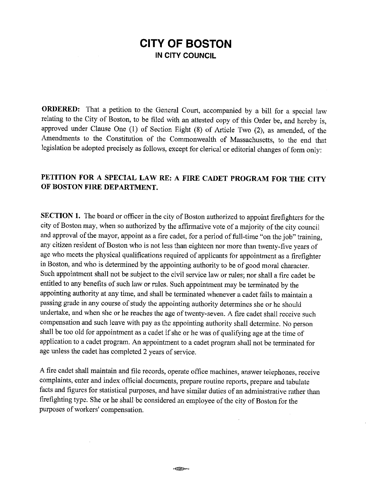# **CITY OF BOSTON IN CITY COUNCIL**

**ORDERED:** That a petition to the General Court, accompanied by a bill for a special law relating to the City of Boston, to be filed with an attested copy of this Order be, and hereby is, approved under Clause One (1) of Section Eight (8) of Article Two (2), as amended, of the Amendments to the Constitution of the Commonwealth of Massachusetts, to the end that legislation be adopted precisely as follows, except for clerical or editorial changes of form only:

## **PETITION FOR A SPECIAL LAW RE: A FIRE CADET PROGRAM FOR THE CITY OF BOSTON FIRE DEPARTMENT.**

**SECTION 1.** The board or officer in the city of Boston authorized to appoint firefighters for the city of Boston may, when so authorized by the affirmative vote of a majority of the city council and approval of the mayor, appoint as a fire cadet, for a period of full-time "on the job" training, any citizen resident of Boston who is not less than eighteen nor more than twenty-five years of age who meets the physical qualifications required of applicants for appointment as a firefighter in Boston, and who is determined by the appointing authority to be of good moral character. Such appointment shall not be subject to the civil service law or rules; nor shall a fire cadet be entitled to any benefits of such law or rules. Such appointment may be terminated by the appointing authority at any time, and shall be terminated whenever a cadet fails to maintain a passing grade in any course of study the appointing authority determines she or he should undertake, and when she or he reaches the age of twenty-seven. A fire cadet shall receive such compensation and such leave with pay as the appointing authority shall determine. No person shall be too old for appointment as a cadet if she or he was of qualifying age at the time of application to a cadet program. An appointment to a cadet program shall not be terminated for age unless the cadet has completed 2 years of service.

A fire cadet shall maintain and file records, operate office machines, answer telephones, receive complaints, enter and index official documents, prepare routine reports, prepare and tabulate facts and figures for statistical purposes, and have similar duties of an administrative rather than firefighting type. She or he shall be considered an employee of the city of Boston for the purposes of workers' compensation.